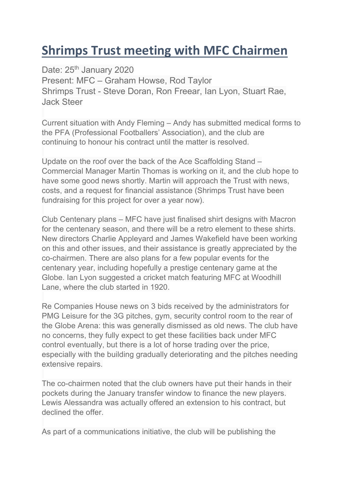## **Shrimps Trust meeting with MFC Chairmen**

Date: 25<sup>th</sup> January 2020 Present: MFC – Graham Howse, Rod Taylor Shrimps Trust - Steve Doran, Ron Freear, Ian Lyon, Stuart Rae, Jack Steer

Current situation with Andy Fleming – Andy has submitted medical forms to the PFA (Professional Footballers' Association), and the club are continuing to honour his contract until the matter is resolved.

Update on the roof over the back of the Ace Scaffolding Stand – Commercial Manager Martin Thomas is working on it, and the club hope to have some good news shortly. Martin will approach the Trust with news, costs, and a request for financial assistance (Shrimps Trust have been fundraising for this project for over a year now).

Club Centenary plans – MFC have just finalised shirt designs with Macron for the centenary season, and there will be a retro element to these shirts. New directors Charlie Appleyard and James Wakefield have been working on this and other issues, and their assistance is greatly appreciated by the co-chairmen. There are also plans for a few popular events for the centenary year, including hopefully a prestige centenary game at the Globe. Ian Lyon suggested a cricket match featuring MFC at Woodhill Lane, where the club started in 1920.

Re Companies House news on 3 bids received by the administrators for PMG Leisure for the 3G pitches, gym, security control room to the rear of the Globe Arena: this was generally dismissed as old news. The club have no concerns, they fully expect to get these facilities back under MFC control eventually, but there is a lot of horse trading over the price, especially with the building gradually deteriorating and the pitches needing extensive repairs.

The co-chairmen noted that the club owners have put their hands in their pockets during the January transfer window to finance the new players. Lewis Alessandra was actually offered an extension to his contract, but declined the offer.

As part of a communications initiative, the club will be publishing the